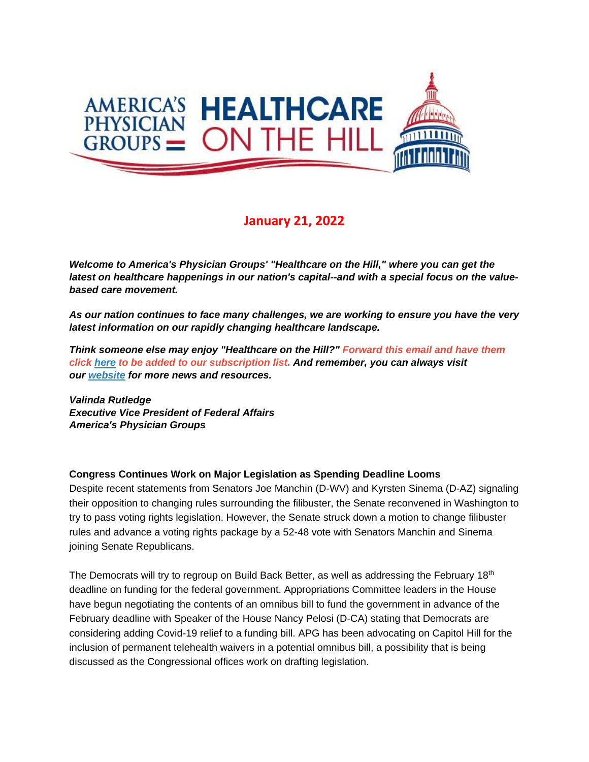

# **January 21, 2022**

*Welcome to America's Physician Groups' "Healthcare on the Hill," where you can get the latest on healthcare happenings in our nation's capital--and with a special focus on the valuebased care movement.*

*As our nation continues to face many challenges, we are working to ensure you have the very latest information on our rapidly changing healthcare landscape.*

*Think someone else may enjoy "Healthcare on the Hill?" Forward this email and have them click [here](mailto:srobinette@apg.org) to be added to our subscription list. And remember, you can always visit our [website](http://link.apg.org/c/7/eyJhaSI6Njk4MDUxNDQsImUiOiJncGhpbGxpcHNAYXBnLm9yZyIsInJpIjoiY29udGFjdC03YWMxOTAzZjFkYzVlYTExYTgxMjAwMGQzYTVhMTdlMy00ZDBkOTAzNmQyYjk0MTAyOTYxNWRmMDUwOTNjNzI2YyIsInJxIjoiMDItYjIyMDExLTZmOTFiNjc1MWVkZjQ0ZDk5YmJkNTc5ZGFkMDFlZGEzIiwicGgiOm51bGwsIm0iOmZhbHNlLCJ1aSI6IjAiLCJ1biI6IiIsInUiOiJodHRwOi8vd3d3LmFwZy5vcmc_X2NsZGVlPVozQm9hV3hzYVhCelFHRndaeTV2Y21jJTNkJnJlY2lwaWVudGlkPWNvbnRhY3QtN2FjMTkwM2YxZGM1ZWExMWE4MTIwMDBkM2E1YTE3ZTMtNGQwZDkwMzZkMmI5NDEwMjk2MTVkZjA1MDkzYzcyNmMmZXNpZD1hOGM3MmIyZi04YTcyLWVjMTEtODk0My0wMDBkM2E1OTkzYWEifQ/SOn7YH87DCIKhgwwa7sBuQ) for more news and resources.* 

*Valinda Rutledge Executive Vice President of Federal Affairs America's Physician Groups*

#### **Congress Continues Work on Major Legislation as Spending Deadline Looms**

Despite recent statements from Senators Joe Manchin (D-WV) and Kyrsten Sinema (D-AZ) signaling their opposition to changing rules surrounding the filibuster, the Senate reconvened in Washington to try to pass voting rights legislation. However, the Senate struck down a motion to change filibuster rules and advance a voting rights package by a 52-48 vote with Senators Manchin and Sinema joining Senate Republicans.

The Democrats will try to regroup on Build Back Better, as well as addressing the February 18<sup>th</sup> deadline on funding for the federal government. Appropriations Committee leaders in the House have begun negotiating the contents of an omnibus bill to fund the government in advance of the February deadline with Speaker of the House Nancy Pelosi (D-CA) stating that Democrats are considering adding Covid-19 relief to a funding bill. APG has been advocating on Capitol Hill for the inclusion of permanent telehealth waivers in a potential omnibus bill, a possibility that is being discussed as the Congressional offices work on drafting legislation.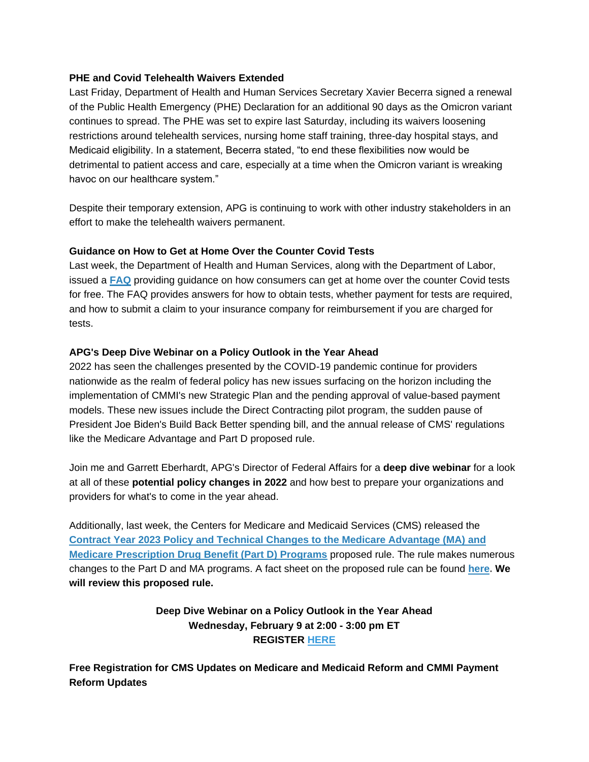#### **PHE and Covid Telehealth Waivers Extended**

Last Friday, Department of Health and Human Services Secretary Xavier Becerra signed a renewal of the Public Health Emergency (PHE) Declaration for an additional 90 days as the Omicron variant continues to spread. The PHE was set to expire last Saturday, including its waivers loosening restrictions around telehealth services, nursing home staff training, three-day hospital stays, and Medicaid eligibility. In a statement, Becerra stated, "to end these flexibilities now would be detrimental to patient access and care, especially at a time when the Omicron variant is wreaking havoc on our healthcare system."

Despite their temporary extension, APG is continuing to work with other industry stakeholders in an effort to make the telehealth waivers permanent.

## **Guidance on How to Get at Home Over the Counter Covid Tests**

Last week, the Department of Health and Human Services, along with the Department of Labor, issued a **[FAQ](http://link.apg.org/c/7/eyJhaSI6Njk4MDUxNDQsImUiOiJncGhpbGxpcHNAYXBnLm9yZyIsInJpIjoiY29udGFjdC03YWMxOTAzZjFkYzVlYTExYTgxMjAwMGQzYTVhMTdlMy03N2E5N2Y2YjVkNGQ0MjM4ODljM2U2OWMzZjQwZmI5NyIsInJxIjoiMDItYjIyMDIxLWFkZGViOTUxN2EyNjRmZjQ5YWRiNTRhMDc3YWUxYjg4IiwicGgiOm51bGwsIm0iOmZhbHNlLCJ1aSI6IjEiLCJ1biI6IiIsInUiOiJodHRwczovL3d3dy5hcGcub3JnL3dwLWNvbnRlbnQvdXBsb2Fkcy8yMDIyLzAxL0ZBUS1GcmVlLUNvdmlkLVRlc3QucGRmP19jbGRlZT1aM0JvYVd4c2FYQnpRR0Z3Wnk1dmNtYyUzZCZyZWNpcGllbnRpZD1jb250YWN0LTdhYzE5MDNmMWRjNWVhMTFhODEyMDAwZDNhNWExN2UzLTc3YTk3ZjZiNWQ0ZDQyMzg4OWMzZTY5YzNmNDBmYjk3JmVzaWQ9ODIxNWQ0NjMtNjY1NC1lYzExLThjNjItMDAwZDNhNWJjMmMwIn0/oAx1ufrcxuHxjpgJ-pC_Mw)** providing guidance on how consumers can get at home over the counter Covid tests for free. The FAQ provides answers for how to obtain tests, whether payment for tests are required, and how to submit a claim to your insurance company for reimbursement if you are charged for tests.

## **APG's Deep Dive Webinar on a Policy Outlook in the Year Ahead**

2022 has seen the challenges presented by the COVID-19 pandemic continue for providers nationwide as the realm of federal policy has new issues surfacing on the horizon including the implementation of CMMI's new Strategic Plan and the pending approval of value-based payment models. These new issues include the Direct Contracting pilot program, the sudden pause of President Joe Biden's Build Back Better spending bill, and the annual release of CMS' regulations like the Medicare Advantage and Part D proposed rule.

Join me and Garrett Eberhardt, APG's Director of Federal Affairs for a **deep dive webinar** for a look at all of these **potential policy changes in 2022** and how best to prepare your organizations and providers for what's to come in the year ahead.

Additionally, last week, the Centers for Medicare and Medicaid Services (CMS) released the **[Contract Year 2023 Policy and Technical Changes to the Medicare Advantage \(MA\) and](http://link.apg.org/c/7/eyJhaSI6Njk4MDUxNDQsImUiOiJncGhpbGxpcHNAYXBnLm9yZyIsInJpIjoiY29udGFjdC03YWMxOTAzZjFkYzVlYTExYTgxMjAwMGQzYTVhMTdlMy03N2E5N2Y2YjVkNGQ0MjM4ODljM2U2OWMzZjQwZmI5NyIsInJxIjoiMDItYjIyMDIxLWFkZGViOTUxN2EyNjRmZjQ5YWRiNTRhMDc3YWUxYjg4IiwicGgiOm51bGwsIm0iOmZhbHNlLCJ1aSI6IjIiLCJ1biI6IiIsInUiOiJodHRwOi8vbGluay5hcGcub3JnL2MvNy9leUpoYVNJNk5qazRNRFV4TkRRc0ltVWlPaUp6Y205aWFXNWxkSFJsUUdGd1p5NXZjbWNpTENKeWFTSTZJbU52Ym5SaFkzUXRaR1ZoWkRSaE0yTmhOV1ZrWlRZeE1UZ3daV05qTkRNME5tSmhZemRpT1RBdE16RTFZbU0yT0RjMk1ERTJOR0U1T0dGaU16Z3dNMkk0TW1ZeVpUSmhaak1pTENKeWNTSTZJakF5TFdJeU1qQXhNUzAyWmpreFlqWTNOVEZsWkdZME5HUTVPV0ppWkRVM09XUmhaREF4WldSaE15SXNJbkJvSWpwdWRXeHNMQ0p0SWpwbVlXeHpaU3dpZFdraU9pSXlJaXdpZFc0aU9pSWlMQ0oxSWpvaWFIUjBjSE02THk5d2RXSnNhV010YVc1emNHVmpkR2x2Ymk1bVpXUmxjbUZzY21WbmFYTjBaWEl1WjI5Mkx6SXdNakl0TURBeE1UY3VjR1JtUDE5amJHUmxaVDFqTTBwMldXMXNkVnBZVWpCYVZVSm9ZMGRqZFdJelNtNG1jbVZqYVhCcFpXNTBhV1E5WTI5dWRHRmpkQzFrWldGa05HRXpZMkUxWldSbE5qRXhPREJsWTJNME16UTJZbUZqTjJJNU1DMHpNVFZpWXpZNE56WXdNVFkwWVRrNFlXSXpPREF6WWpneVpqSmxNbUZtTXlabGMybGtQV0U0WXpjeVlqSm1MVGhoTnpJdFpXTXhNUzA0T1RRekxUQXdNR1F6WVRVNU9UTmhZU0o5L2pmTF9IOFJLSENuMFh1QXNMUmxBdnc_X2NsZGVlPVozQm9hV3hzYVhCelFHRndaeTV2Y21jJTNkJnJlY2lwaWVudGlkPWNvbnRhY3QtN2FjMTkwM2YxZGM1ZWExMWE4MTIwMDBkM2E1YTE3ZTMtNzdhOTdmNmI1ZDRkNDIzODg5YzNlNjljM2Y0MGZiOTcmZXNpZD04MjE1ZDQ2My02NjU0LWVjMTEtOGM2Mi0wMDBkM2E1YmMyYzAifQ/BPAICDS51Sz-PaCZz13g6Q)  [Medicare Prescription Drug Benefit \(Part D\) Programs](http://link.apg.org/c/7/eyJhaSI6Njk4MDUxNDQsImUiOiJncGhpbGxpcHNAYXBnLm9yZyIsInJpIjoiY29udGFjdC03YWMxOTAzZjFkYzVlYTExYTgxMjAwMGQzYTVhMTdlMy03N2E5N2Y2YjVkNGQ0MjM4ODljM2U2OWMzZjQwZmI5NyIsInJxIjoiMDItYjIyMDIxLWFkZGViOTUxN2EyNjRmZjQ5YWRiNTRhMDc3YWUxYjg4IiwicGgiOm51bGwsIm0iOmZhbHNlLCJ1aSI6IjIiLCJ1biI6IiIsInUiOiJodHRwOi8vbGluay5hcGcub3JnL2MvNy9leUpoYVNJNk5qazRNRFV4TkRRc0ltVWlPaUp6Y205aWFXNWxkSFJsUUdGd1p5NXZjbWNpTENKeWFTSTZJbU52Ym5SaFkzUXRaR1ZoWkRSaE0yTmhOV1ZrWlRZeE1UZ3daV05qTkRNME5tSmhZemRpT1RBdE16RTFZbU0yT0RjMk1ERTJOR0U1T0dGaU16Z3dNMkk0TW1ZeVpUSmhaak1pTENKeWNTSTZJakF5TFdJeU1qQXhNUzAyWmpreFlqWTNOVEZsWkdZME5HUTVPV0ppWkRVM09XUmhaREF4WldSaE15SXNJbkJvSWpwdWRXeHNMQ0p0SWpwbVlXeHpaU3dpZFdraU9pSXlJaXdpZFc0aU9pSWlMQ0oxSWpvaWFIUjBjSE02THk5d2RXSnNhV010YVc1emNHVmpkR2x2Ymk1bVpXUmxjbUZzY21WbmFYTjBaWEl1WjI5Mkx6SXdNakl0TURBeE1UY3VjR1JtUDE5amJHUmxaVDFqTTBwMldXMXNkVnBZVWpCYVZVSm9ZMGRqZFdJelNtNG1jbVZqYVhCcFpXNTBhV1E5WTI5dWRHRmpkQzFrWldGa05HRXpZMkUxWldSbE5qRXhPREJsWTJNME16UTJZbUZqTjJJNU1DMHpNVFZpWXpZNE56WXdNVFkwWVRrNFlXSXpPREF6WWpneVpqSmxNbUZtTXlabGMybGtQV0U0WXpjeVlqSm1MVGhoTnpJdFpXTXhNUzA0T1RRekxUQXdNR1F6WVRVNU9UTmhZU0o5L2pmTF9IOFJLSENuMFh1QXNMUmxBdnc_X2NsZGVlPVozQm9hV3hzYVhCelFHRndaeTV2Y21jJTNkJnJlY2lwaWVudGlkPWNvbnRhY3QtN2FjMTkwM2YxZGM1ZWExMWE4MTIwMDBkM2E1YTE3ZTMtNzdhOTdmNmI1ZDRkNDIzODg5YzNlNjljM2Y0MGZiOTcmZXNpZD04MjE1ZDQ2My02NjU0LWVjMTEtOGM2Mi0wMDBkM2E1YmMyYzAifQ/BPAICDS51Sz-PaCZz13g6Q)** proposed rule. The rule makes numerous changes to the Part D and MA programs. A fact sheet on the proposed rule can be found **[here.](http://link.apg.org/c/7/eyJhaSI6Njk4MDUxNDQsImUiOiJncGhpbGxpcHNAYXBnLm9yZyIsInJpIjoiY29udGFjdC03YWMxOTAzZjFkYzVlYTExYTgxMjAwMGQzYTVhMTdlMy03N2E5N2Y2YjVkNGQ0MjM4ODljM2U2OWMzZjQwZmI5NyIsInJxIjoiMDItYjIyMDIxLWFkZGViOTUxN2EyNjRmZjQ5YWRiNTRhMDc3YWUxYjg4IiwicGgiOm51bGwsIm0iOmZhbHNlLCJ1aSI6IjMiLCJ1biI6IiIsInUiOiJodHRwOi8vbGluay5hcGcub3JnL2MvNy9leUpoYVNJNk5qazRNRFV4TkRRc0ltVWlPaUp6Y205aWFXNWxkSFJsUUdGd1p5NXZjbWNpTENKeWFTSTZJbU52Ym5SaFkzUXRaR1ZoWkRSaE0yTmhOV1ZrWlRZeE1UZ3daV05qTkRNME5tSmhZemRpT1RBdE16RTFZbU0yT0RjMk1ERTJOR0U1T0dGaU16Z3dNMkk0TW1ZeVpUSmhaak1pTENKeWNTSTZJakF5TFdJeU1qQXhNUzAyWmpreFlqWTNOVEZsWkdZME5HUTVPV0ppWkRVM09XUmhaREF4WldSaE15SXNJbkJvSWpwdWRXeHNMQ0p0SWpwbVlXeHpaU3dpZFdraU9pSXpJaXdpZFc0aU9pSWlMQ0oxSWpvaWFIUjBjSE02THk5M2QzY3VZMjF6TG1kdmRpOXVaWGR6Y205dmJTOW1ZV04wTFhOb1pXVjBjeTlqZVMweU1ESXpMVzFsWkdsallYSmxMV0ZrZG1GdWRHRm5aUzFoYm1RdGNHRnlkQzFrTFhCeWIzQnZjMlZrTFhKMWJHVXRZMjF6TFRReE9USXRjRDlmWTJ4a1pXVTlZek5LZGxsdGJIVmFXRkl3V2xWQ2FHTkhZM1ZpTTBwdUpuSmxZMmx3YVdWdWRHbGtQV052Ym5SaFkzUXRaR1ZoWkRSaE0yTmhOV1ZrWlRZeE1UZ3daV05qTkRNME5tSmhZemRpT1RBdE16RTFZbU0yT0RjMk1ERTJOR0U1T0dGaU16Z3dNMkk0TW1ZeVpUSmhaak1tWlhOcFpEMWhPR00zTW1JeVppMDRZVGN5TFdWak1URXRPRGswTXkwd01EQmtNMkUxT1RrellXRWlmUS85TjlmSTBtd2JCRGFBa09tN3d6QWR3P19jbGRlZT1aM0JvYVd4c2FYQnpRR0Z3Wnk1dmNtYyUzZCZyZWNpcGllbnRpZD1jb250YWN0LTdhYzE5MDNmMWRjNWVhMTFhODEyMDAwZDNhNWExN2UzLTc3YTk3ZjZiNWQ0ZDQyMzg4OWMzZTY5YzNmNDBmYjk3JmVzaWQ9ODIxNWQ0NjMtNjY1NC1lYzExLThjNjItMDAwZDNhNWJjMmMwIn0/7e66abk0keC9qjP9WL0SfA) We will review this proposed rule.** 

# **Deep Dive Webinar on a Policy Outlook in the Year Ahead Wednesday, February 9 at 2:00 - 3:00 pm ET REGISTER [HERE](http://link.apg.org/c/7/eyJhaSI6Njk4MDUxNDQsImUiOiJncGhpbGxpcHNAYXBnLm9yZyIsInJpIjoiY29udGFjdC03YWMxOTAzZjFkYzVlYTExYTgxMjAwMGQzYTVhMTdlMy03N2E5N2Y2YjVkNGQ0MjM4ODljM2U2OWMzZjQwZmI5NyIsInJxIjoiMDItYjIyMDIxLWFkZGViOTUxN2EyNjRmZjQ5YWRiNTRhMDc3YWUxYjg4IiwicGgiOm51bGwsIm0iOmZhbHNlLCJ1aSI6IjQiLCJ1biI6IiIsInUiOiJodHRwczovL2NhcGcud2ViZXguY29tL213MzMwMC9teXdlYmV4L2RlZmF1bHQuZG8_bm9tZW51PXRydWUmc2l0ZXVybD1jYXBnJnNlcnZpY2U9NiZybmQ9MC45OTkyNjQwMTg3MjQ2NDMmbWFpbl91cmw9aHR0cHMlM0ElMkYlMkZjYXBnLndlYmV4LmNvbSUyRmVjMzMwMCUyRmV2ZW50Y2VudGVyJTJGZXZlbnQlMkZldmVudEFjdGlvbi5kbyUzRnRoZUFjdGlvbiUzRGRldGFpbCUyNiUyNiUyNkVNSyUzRDQ4MzI1MzRiMDAwMDAwMDU4MWU2MjlkY2JkZGRlODc0Y2VkNTE4OGVmOTA0N2FlNWVkMDQ0OTljNWRiNjIwZmM1NDI1Yjk3MGFlM2Q5NWI1JTI2c2l0ZXVybCUzRGNhcGclMjZjb25mVmlld0lEJTNEMjE2ODYzNzEwMDY3NTk3NjYwJTI2ZW5jcnlwdFRpY2tldCUzRFNESlRTd0FBQUFVb05OLW14TDFYeFNMZExFV0NwUncxY19JeTVGbWRsZE9oVjNNUDA3QW04UTIlMjYmX2NsZGVlPVozQm9hV3hzYVhCelFHRndaeTV2Y21jJTNkJnJlY2lwaWVudGlkPWNvbnRhY3QtN2FjMTkwM2YxZGM1ZWExMWE4MTIwMDBkM2E1YTE3ZTMtNzdhOTdmNmI1ZDRkNDIzODg5YzNlNjljM2Y0MGZiOTcmZXNpZD04MjE1ZDQ2My02NjU0LWVjMTEtOGM2Mi0wMDBkM2E1YmMyYzAifQ/UFcmqYEtNoqrZa9kqO6QJg)**

**Free Registration for CMS Updates on Medicare and Medicaid Reform and CMMI Payment Reform Updates**